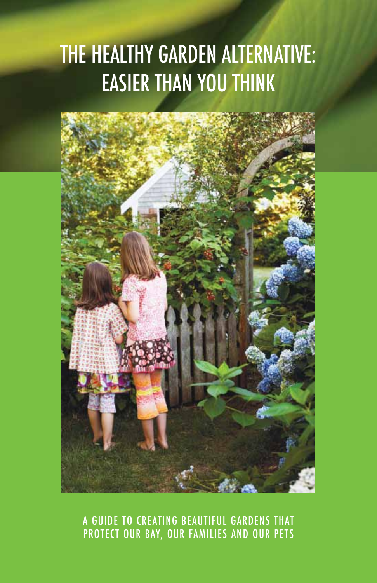# THE HEALTHY GARDEN ALTERNATIVE: Easier than you think



A guide to creating beautiful gardens that protect our Bay, our families and our pets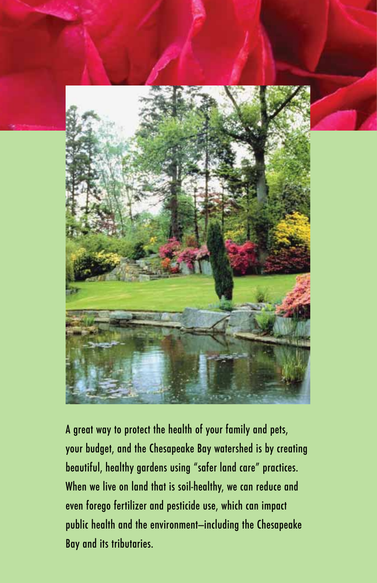

A great way to protect the health of your family and pets, your budget, and the Chesapeake Bay watershed is by creating beautiful, healthy gardens using "safer land care" practices. When we live on land that is soil-healthy, we can reduce and even forego fertilizer and pesticide use, which can impact public health and the environment—including the Chesapeake Bay and its tributaries.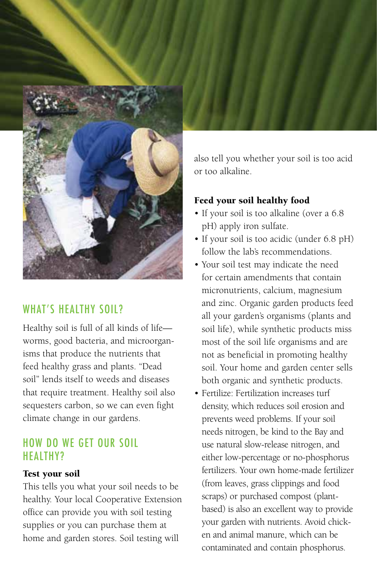

## WHAT'S HEALTHY SOIL?

Healthy soil is full of all kinds of life worms, good bacteria, and microorganisms that produce the nutrients that feed healthy grass and plants. "Dead soil" lends itself to weeds and diseases that require treatment. Healthy soil also sequesters carbon, so we can even fight climate change in our gardens.

## How do we get our soil healthy?

#### Test your soil

This tells you what your soil needs to be healthy. Your local Cooperative Extension office can provide you with soil testing supplies or you can purchase them at home and garden stores. Soil testing will



also tell you whether your soil is too acid or too alkaline.

#### Feed your soil healthy food

- If your soil is too alkaline (over a 6.8 pH) apply iron sulfate.
- If your soil is too acidic (under 6.8 pH) follow the lab's recommendations.
- • Your soil test may indicate the need for certain amendments that contain micronutrients, calcium, magnesium and zinc. Organic garden products feed all your garden's organisms (plants and soil life), while synthetic products miss most of the soil life organisms and are not as beneficial in promoting healthy soil. Your home and garden center sells both organic and synthetic products.
- • Fertilize: Fertilization increases turf density, which reduces soil erosion and prevents weed problems. If your soil needs nitrogen, be kind to the Bay and use natural slow-release nitrogen, and either low-percentage or no-phosphorus fertilizers. Your own home-made fertilizer (from leaves, grass clippings and food scraps) or purchased compost (plantbased) is also an excellent way to provide your garden with nutrients. Avoid chicken and animal manure, which can be contaminated and contain phosphorus.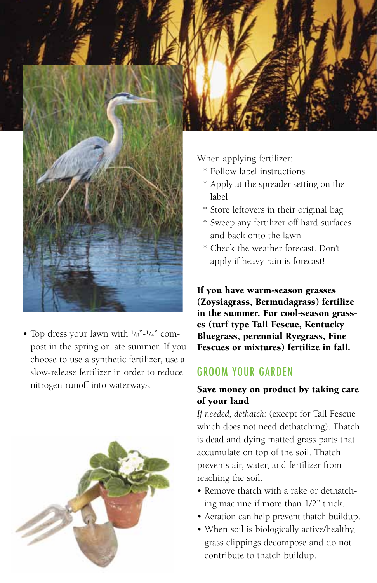

• Top dress your lawn with  $\frac{1}{8}$ "- $\frac{1}{4}$ " compost in the spring or late summer. If you choose to use a synthetic fertilizer, use a slow-release fertilizer in order to reduce nitrogen runoff into waterways.



Groom your garden

#### Save money on product by taking care of your land

es (turf type Tall Fescue, Kentucky Bluegrass, perennial Ryegrass, Fine Fescues or mixtures) fertilize in fall.

*If needed, dethatch:* (except for Tall Fescue which does not need dethatching). Thatch is dead and dying matted grass parts that accumulate on top of the soil. Thatch prevents air, water, and fertilizer from reaching the soil.

- Remove thatch with a rake or dethatching machine if more than 1/2" thick.
- • Aeration can help prevent thatch buildup.
- • When soil is biologically active/healthy, grass clippings decompose and do not contribute to thatch buildup.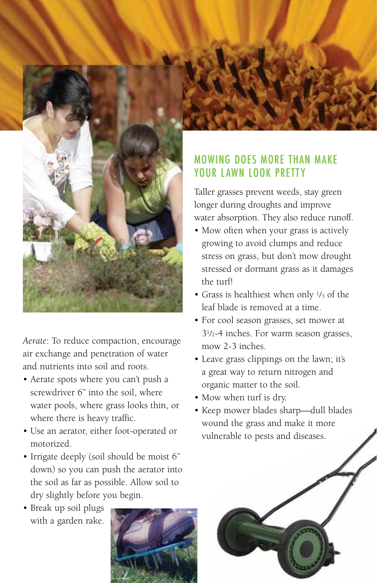

*Aerate*: To reduce compaction, encourage air exchange and penetration of water and nutrients into soil and roots.

- Aerate spots where you can't push a screwdriver 6" into the soil, where water pools, where grass looks thin, or where there is heavy traffic.
- • Use an aerator, either foot-operated or motorized.
- Irrigate deeply (soil should be moist 6" down) so you can push the aerator into the soil as far as possible. Allow soil to dry slightly before you begin.
- Break up soil plugs with a garden rake.



# Mowing does more than make your lawn look pretty

Taller grasses prevent weeds, stay green longer during droughts and improve water absorption. They also reduce runoff.

- • Mow often when your grass is actively growing to avoid clumps and reduce stress on grass, but don't mow drought stressed or dormant grass as it damages the turf!
- • Grass is healthiest when only 1/3 of the leaf blade is removed at a time.
- • For cool season grasses, set mower at 31/2-4 inches. For warm season grasses, mow 2-3 inches.
- • Leave grass clippings on the lawn; it's a great way to return nitrogen and organic matter to the soil.
- • Mow when turf is dry.
- • Keep mower blades sharp—dull blades wound the grass and make it more vulnerable to pests and diseases.

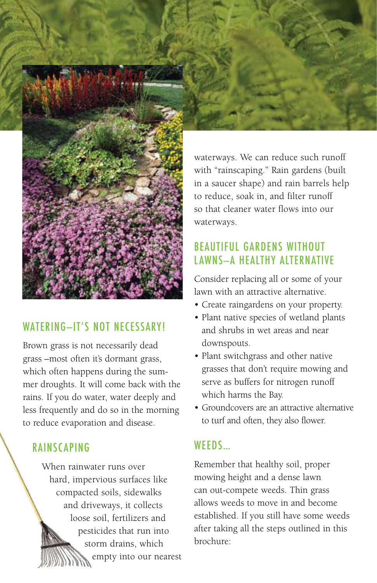

#### lawn with an attractive alternative. • Create raingardens on your property.

#### • Plant native species of wetland plants and shrubs in wet areas and near downspouts.

- Plant switchgrass and other native grasses that don't require mowing and serve as buffers for nitrogen runoff which harms the Bay.
- Groundcovers are an attractive alternative to turf and often, they also flower.

# **WFFDS**

Remember that healthy soil, proper mowing height and a dense lawn can out-compete weeds. Thin grass allows weeds to move in and become established. If you still have some weeds after taking all the steps outlined in this brochure:

# WATERING-IT'S NOT NECESSARY!

Brown grass is not necessarily dead grass –most often it's dormant grass, which often happens during the summer droughts. It will come back with the rains. If you do water, water deeply and less frequently and do so in the morning to reduce evaporation and disease.

# **RAINSCAPING**

When rainwater runs over hard, impervious surfaces like compacted soils, sidewalks and driveways, it collects loose soil, fertilizers and pesticides that run into storm drains, which empty into our nearest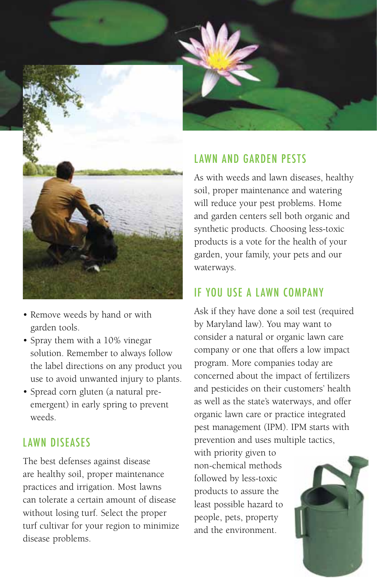

- • Remove weeds by hand or with garden tools.
- • Spray them with a 10% vinegar solution. Remember to always follow the label directions on any product you use to avoid unwanted injury to plants.
- • Spread corn gluten (a natural preemergent) in early spring to prevent weeds.

## L awn Diseases

The best defenses against disease are healthy soil, proper maintenance practices and irrigation. Most lawns can tolerate a certain amount of disease without losing turf. Select the proper turf cultivar for your region to minimize disease problems.



# LAWN AND GARDEN PESTS

As with weeds and lawn diseases, healthy soil, proper maintenance and watering will reduce your pest problems. Home and garden centers sell both organic and synthetic products. Choosing less-toxic products is a vote for the health of your garden, your family, your pets and our waterways.

## If you use a lawn company

Ask if they have done a soil test (required by Maryland law). You may want to consider a natural or organic lawn care company or one that offers a low impact program. More companies today are concerned about the impact of fertilizers and pesticides on their customers' health as well as the state's waterways, and offer organic lawn care or practice integrated pest management (IPM). IPM starts with prevention and uses multiple tactics,

with priority given to non-chemical methods followed by less-toxic products to assure the least possible hazard to people, pets, property and the environment.